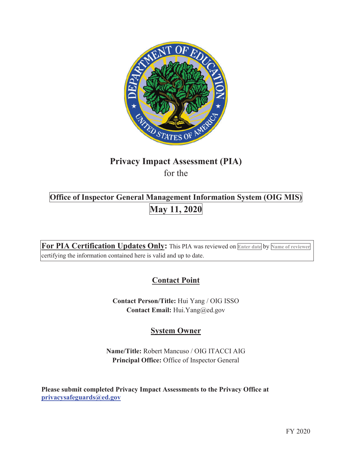

# **Privacy Impact Assessment (PIA)**  for the

# **Office of Inspector General Management Information System (OIG MIS)**<br>May 11, 2020

**For PIA Certification Updates Only:** This PIA was reviewed on **Enter date** by **Name of reviewer** certifying the information contained here is valid and up to date.

# **Contact Point**

**Contact Person/Title:** Hui Yang / OIG ISSO **Contact Email:** Hui.Yang@ed.gov

## **System Owner**

**Name/Title:** Robert Mancuso / OIG ITACCI AIG **Principal Office:** Office of Inspector General

**Please submit completed Privacy Impact Assessments to the Privacy Office at privacysafeguards@ed.gov**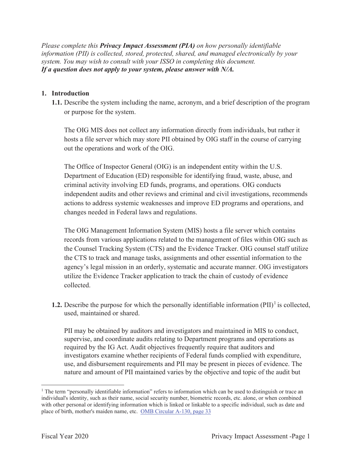*Please complete this Privacy Impact Assessment (PIA) on how personally identifiable information (PII) is collected, stored, protected, shared, and managed electronically by your system. You may wish to consult with your ISSO in completing this document. If a question does not apply to your system, please answer with N/A.*

#### **1. Introduction**

**1.1.** Describe the system including the name, acronym, and a brief description of the program or purpose for the system.

The OIG MIS does not collect any information directly from individuals, but rather it hosts a file server which may store PII obtained by OIG staff in the course of carrying out the operations and work of the OIG.

The Office of Inspector General (OIG) is an independent entity within the U.S. Department of Education (ED) responsible for identifying fraud, waste, abuse, and criminal activity involving ED funds, programs, and operations. OIG conducts independent audits and other reviews and criminal and civil investigations, recommends actions to address systemic weaknesses and improve ED programs and operations, and changes needed in Federal laws and regulations.

The OIG Management Information System (MIS) hosts a file server which contains records from various applications related to the management of files within OIG such as the Counsel Tracking System (CTS) and the Evidence Tracker. OIG counsel staff utilize the CTS to track and manage tasks, assignments and other essential information to the agency's legal mission in an orderly, systematic and accurate manner. OIG investigators utilize the Evidence Tracker application to track the chain of custody of evidence collected.

**1.2.** Describe the purpose for which the personally identifiable information  $(PII)^{1}$  is collected, used, maintained or shared.

PII may be obtained by auditors and investigators and maintained in MIS to conduct, supervise, and coordinate audits relating to Department programs and operations as required by the IG Act. Audit objectives frequently require that auditors and investigators examine whether recipients of Federal funds complied with expenditure, use, and disbursement requirements and PII may be present in pieces of evidence. The nature and amount of PII maintained varies by the objective and topic of the audit but

<sup>&</sup>lt;sup>1</sup> The term "personally identifiable information" refers to information which can be used to distinguish or trace an individual's identity, such as their name, social security number, biometric records, etc. alone, or when combined with other personal or identifying information which is linked or linkable to a specific individual, such as date and place of birth, mother's maiden name, etc. OMB Circular A-130, page 33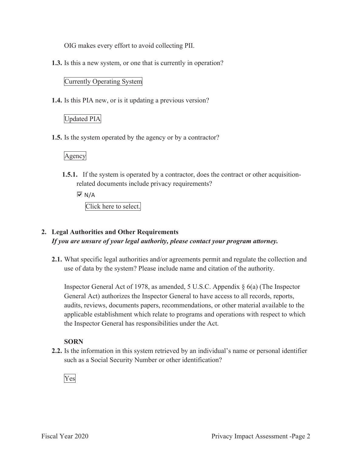OIG makes every effort to avoid collecting PII.

**1.3.** Is this a new system, or one that is currently in operation?

#### Currently Operating System

**1.4.** Is this PIA new, or is it updating a previous version?

#### Updated PIA

**1.5.** Is the system operated by the agency or by a contractor?

#### Agency

**1.5.1.** If the system is operated by a contractor, does the contract or other acquisitionrelated documents include privacy requirements?

 $\overline{M}$  N/A Click here to select.

### **2. Legal Authorities and Other Requirements**  *If you are unsure of your legal authority, please contact your program attorney.*

**2.1.** What specific legal authorities and/or agreements permit and regulate the collection and use of data by the system? Please include name and citation of the authority.

Inspector General Act of 1978, as amended, 5 U.S.C. Appendix § 6(a) (The Inspector General Act) authorizes the Inspector General to have access to all records, reports, audits, reviews, documents papers, recommendations, or other material available to the applicable establishment which relate to programs and operations with respect to which the Inspector General has responsibilities under the Act.

#### **SORN**

**2.2.** Is the information in this system retrieved by an individual's name or personal identifier such as a Social Security Number or other identification?

Yes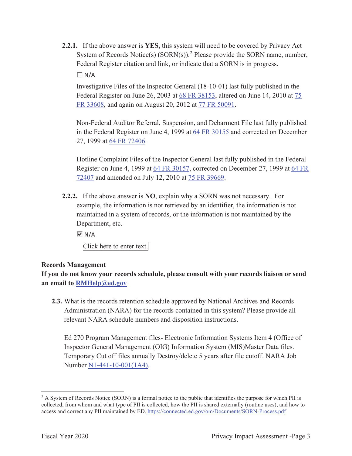**2.2.1.** If the above answer is **YES,** this system will need to be covered by Privacy Act System of Records Notice(s)  $(SORN(s))$ .<sup>2</sup> Please provide the SORN name, number, Federal Register citation and link, or indicate that a SORN is in progress.

 $\Box N/A$ 

Investigative Files of the Inspector General (18-10-01) last fully published in the Federal Register on June 26, 2003 at 68 FR 38153, altered on June 14, 2010 at 75 FR 33608, and again on August 20, 2012 at 77 FR 50091.

Non-Federal Auditor Referral, Suspension, and Debarment File last fully published in the Federal Register on June 4, 1999 at 64 FR 30155 and corrected on December 27, 1999 at 64 FR 72406.

Hotline Complaint Files of the Inspector General last fully published in the Federal Register on June 4, 1999 at 64 FR 30157, corrected on December 27, 1999 at 64 FR 72407 and amended on July 12, 2010 at 75 FR 39669.

**2.2.2.** If the above answer is **NO**, explain why a SORN was not necessary. For example, the information is not retrieved by an identifier, the information is not maintained in a system of records, or the information is not maintained by the Department, etc.

 $\overline{M}$  N/A

Click here to enter text.

#### **Records Management**

**If you do not know your records schedule, please consult with your records liaison or send an email to RMHelp@ed.gov**

**2.3.** What is the records retention schedule approved by National Archives and Records Administration (NARA) for the records contained in this system? Please provide all relevant NARA schedule numbers and disposition instructions.

Ed 270 Program Management files- Electronic Information Systems Item 4 (Office of Inspector General Management (OIG) Information System (MIS)Master Data files. Temporary Cut off files annually Destroy/delete 5 years after file cutoff. NARA Job Number N1-441-10-001(1A4).

<sup>&</sup>lt;sup>2</sup> A System of Records Notice (SORN) is a formal notice to the public that identifies the purpose for which PII is collected, from whom and what type of PII is collected, how the PII is shared externally (routine uses), and how to access and correct any PII maintained by ED. https://connected.ed.gov/om/Documents/SORN-Process.pdf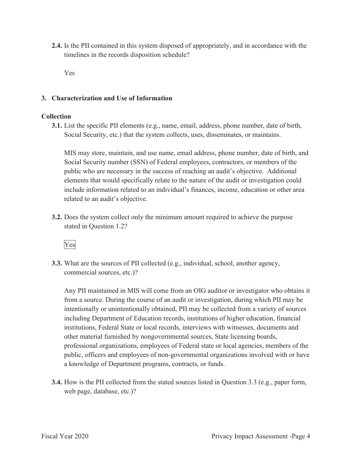**2.4.** Is the PII contained in this system disposed of appropriately, and in accordance with the timelines in the records disposition schedule?

Yes

#### **3. Characterization and Use of Information**

#### **Collection**

**3.1.** List the specific PII elements (e.g., name, email, address, phone number, date of birt h, Social Security, etc.) that the system collects, uses, disseminates, or maintains.

MIS may store, maintain, and use name, email address, phone number, date of birth, and Social Security number (SSN) of Federal employees, contractors, or members of the public who are necessary in the success of reaching an audit's objective. Additional elements that would specifically relate to the nature of the audit or investigation could include information related to an individual's finances, income, education or other area related to an audit's objective.

**3.2.** Does the system collect only the minimum amount required to achieve the purpose stated in Question 1.2?



**3.3.** What are the sources of PII collected (e.g., individual, school, another agency, commercial sources, etc.)?

Any PII maintained in MIS will come from an OIG auditor or investigator who obtains it from a source. During the course of an audit or investigation, during which PII may be intentionally or unintentionally obtained, PII may be collected from a variety of sources including Department of Education records, institutions of higher education, financial institutions, Federal State or local records, interviews with witnesses, documents and other material furnished by nongovernmental sources, State licensing boards, professional organizations, employees of Federal state or local agencies, members of the public, officers and employees of non-governmental organizations involved with or have a knowledge of Department programs, contracts, or funds.

**3.4.** How is the PII collected from the stated sources listed in Question 3.3 (e.g., paper form, web page, database, etc.)?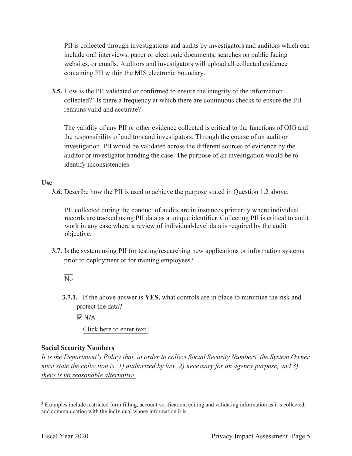PII is collected through investigations and audits by investigators and auditors which can include oral interviews, paper or electronic documents, searches on public facing websites, or emails. Auditors and investigators will upload all collected evidence containing PII within the MIS electronic boundary.

**3.5.** How is the PII validated or confirmed to ensure the integrity of the information collected?<sup>3</sup> Is there a frequency at which there are continuous checks to ensure the PII remains valid and accurate?

The validity of any PII or other evidence collected is critical to the functions of OIG and the responsibility of auditors and investigators. Through the course of an audit or investigation, PII would be validated across the different sources of evidence by the auditor or investigator handing the case. The purpose of an investigation would be to identify inconsistencies.

#### **Use**

**3.6.** Describe how the PII is used to achieve the purpose stated in Question 1.2 above.

PII collected during the conduct of audits are in instances primarily where individual records are tracked using PII data as a unique identifier. Collecting PII is critical to audit work in any case where a review of individual-level data is required by the audit objective.

**3.7.** Is the system using PII for testing/researching new applications or information systems prior to deployment or for training employees?

#### No

**3.7.1.** If the above answer is **YES,** what controls are in place to minimize the risk and protect the data?

 $\overline{M}$  N/A Click here to enter text.

#### **Social Security Numbers**

*It is the Department's Policy that, in order to collect Social Security Numbers, the System Owner must state the collection is: 1) authorized by law, 2) necessary for an agency purpose, and 3) there is no reasonable alternative.* 

<sup>&</sup>lt;sup>3</sup> Examples include restricted form filling, account verification, editing and validating information as it's collected, and communication with the individual whose information it is.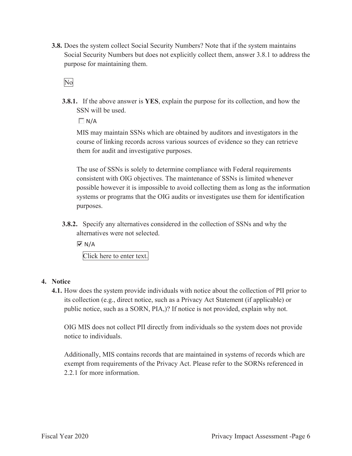**3.8.** Does the system collect Social Security Numbers? Note that if the system maintains Social Security Numbers but does not explicitly collect them, answer 3.8.1 to address the purpose for maintaining them.

No

**3.8.1.** If the above answer is **YES**, explain the purpose for its collection, and how the SSN will be used.

 $\Box N/A$ 

MIS may maintain SSNs which are obtained by auditors and investigators in the course of linking records across various sources of evidence so they can retrieve them for audit and investigative purposes.

The use of SSNs is solely to determine compliance with Federal requirements consistent with OIG objectives. The maintenance of SSNs is limited whenever possible however it is impossible to avoid collecting them as long as the information systems or programs that the OIG audits or investigates use them for identification purposes.

**3.8.2.** Specify any alternatives considered in the collection of SSNs and why the alternatives were not selected.

 $\overline{M}$  N/A

Click here to enter text.

#### **4. Notice**

**4.1.** How does the system provide individuals with notice about the collection of PII prior to its collection (e.g., direct notice, such as a Privacy Act Statement (if applicable) or public notice, such as a SORN, PIA,)? If notice is not provided, explain why not.

OIG MIS does not collect PII directly from individuals so the system does not provide notice to individuals.

Additionally, MIS contains records that are maintained in systems of records which are exempt from requirements of the Privacy Act. Please refer to the SORNs referenced in 2.2.1 for more information.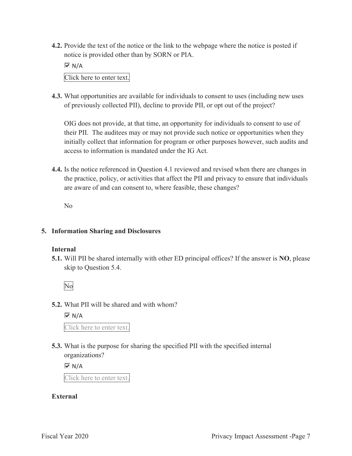**4.2.** Provide the text of the notice or the link to the webpage where the notice is posted if notice is provided other than by SORN or PIA.

 $\overline{M}$  N/A

Click here to enter text.

**4.3.** What opportunities are available for individuals to consent to uses (including new uses of previously collected PII), decline to provide PII, or opt out of the project?

OIG does not provide, at that time, an opportunity for individuals to consent to use of their PII. The auditees may or may not provide such notice or opportunities when they initially collect that information for program or other purposes however, such audits and access to information is mandated under the IG Act.

**4.4.** Is the notice referenced in Question 4.1 reviewed and revised when there are changes in the practice, policy, or activities that affect the PII and privacy to ensure that individuals are aware of and can consent to, where feasible, these changes?

No

#### **5. Information Sharing and Disclosures**

#### **Internal**

**5.1.** Will PII be shared internally with other ED principal offices? If the answer is **NO**, please skip to Question 5.4.

No

**5.2.** What PII will be shared and with whom?

 $\overline{M}$  N/A

Click here to enter text.

**5.3.** What is the purpose for sharing the specified PII with the specified internal organizations?

 $\overline{M}$  N/A

Click here to enter text.

#### **External**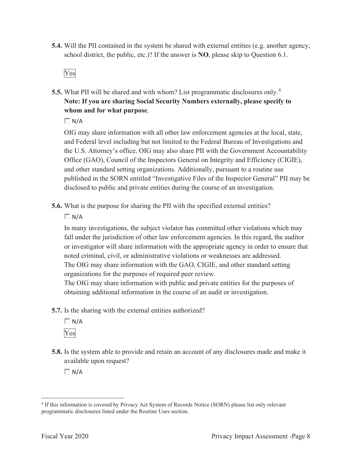**5.4.** Will the PII contained in the system be shared with external entities (e.g. another agency, school district, the public, etc.)? If the answer is **NO**, please skip to Question 6.1.

Yes

**5.5.** What PII will be shared and with whom? List programmatic disclosures only.<sup>4</sup> **Note: If you are sharing Social Security Numbers externally, please specify to whom and for what purpose**.

 $\Box N/A$ 

OIG may share information with all other law enforcement agencies at the local, state, and Federal level including but not limited to the Federal Bureau of Investigations and the U.S. Attorney's office. OIG may also share PII with the Government Accountability Office (GAO), Council of the Inspectors General on Integrity and Efficiency (CIGIE), and other standard setting organizations. Additionally, pursuant to a routine use published in the SORN entitled "Investigative Files of the Inspector General" PII may be disclosed to public and private entities during the course of an investigation.

**5.6.** What is the purpose for sharing the PII with the specified external entities?

 $\Box N/A$ 

In many investigations, the subject violator has committed other violations which may fall under the jurisdiction of other law enforcement agencies. In this regard, the auditor or investigator will share information with the appropriate agency in order to ensure that noted criminal, civil, or administrative violations or weaknesses are addressed. The OIG may share information with the GAO, CIGIE, and other standard setting organizations for the purposes of required peer review.

The OIG may share information with public and private entities for the purposes of obtaining additional information in the course of an audit or investigation.

**5.7.** Is the sharing with the external entities authorized?

 $\Box N/A$ Yes

**5.8.** Is the system able to provide and retain an account of any disclosures made and make it available upon request?

 $\Box N/A$ 

<sup>4</sup> If this information is covered by Privacy Act System of Records Notice (SORN) please list only relevant programmatic disclosures listed under the Routine Uses section.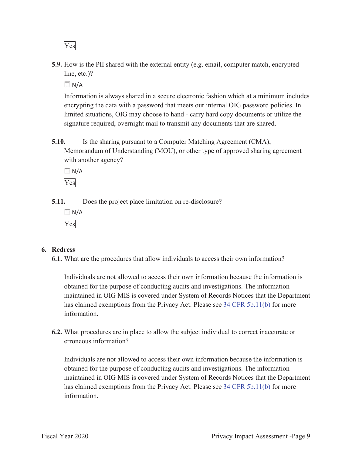Yes

**5.9.** How is the PII shared with the external entity (e.g. email, computer match, encrypted line, etc.)?

 $\Box N/A$ 

Information is always shared in a secure electronic fashion which at a minimum includes encrypting the data with a password that meets our internal OIG password policies. In limited situations, OIG may choose to hand - carry hard copy documents or utilize the signature required, overnight mail to transmit any documents that are shared.

**5.10.** Is the sharing pursuant to a Computer Matching Agreement (CMA), Memorandum of Understanding (MOU), or other type of approved sharing agreement with another agency?

 $\Box N/A$ Yes

**5.11.** Does the project place limitation on re-disclosure?

 $\Box N/A$ Yes

#### **6. Redress**

**6.1.** What are the procedures that allow individuals to access their own information?

Individuals are not allowed to access their own information because the information is obtained for the purpose of conducting audits and investigations. The information maintained in OIG MIS is covered under System of Records Notices that the Department has claimed exemptions from the Privacy Act. Please see 34 CFR 5b.11(b) for more information.

**6.2.** What procedures are in place to allow the subject individual to correct inaccurate or erroneous information?

Individuals are not allowed to access their own information because the information is obtained for the purpose of conducting audits and investigations. The information maintained in OIG MIS is covered under System of Records Notices that the Department has claimed exemptions from the Privacy Act. Please see 34 CFR 5b.11(b) for more information.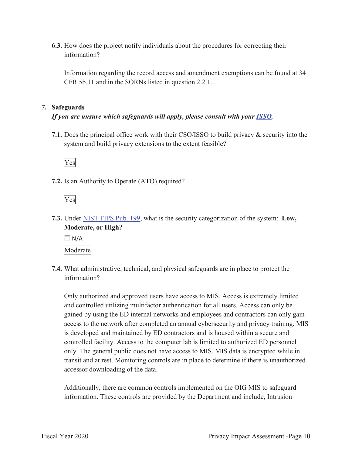**6.3.** How does the project notify individuals about the procedures for correcting their information?

Information regarding the record access and amendment exemptions can be found at 34 CFR 5b.11 and in the SORNs listed in question 2.2.1. .

#### *7.* **Safeguards**

#### *If you are unsure which safeguards will apply, please consult with your ISSO.*

**7.1.** Does the principal office work with their CSO/ISSO to build privacy & security into the system and build privacy extensions to the extent feasible?



**7.2.** Is an Authority to Operate (ATO) required?

Yes

**7.3.** Under NIST FIPS Pub. 199, what is the security categorization of the system: **Low, Moderate, or High?** 

 $\Box$  N/A Moderate

**7.4.** What administrative, technical, and physical safeguards are in place to protect the information?

Only authorized and approved users have access to MIS. Access is extremely limited and controlled utilizing multifactor authentication for all users. Access can only be gained by using the ED internal networks and employees and contractors can only gain access to the network after completed an annual cybersecurity and privacy training. MIS is developed and maintained by ED contractors and is housed within a secure and controlled facility. Access to the computer lab is limited to authorized ED personnel only. The general public does not have access to MIS. MIS data is encrypted while in transit and at rest. Monitoring controls are in place to determine if there is unauthorized accessor downloading of the data.

Additionally, there are common controls implemented on the OIG MIS to safeguard information. These controls are provided by the Department and include, Intrusion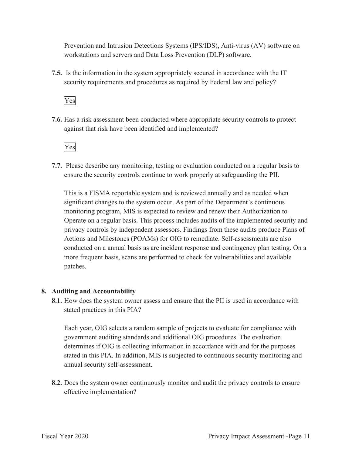Prevention and Intrusion Detections Systems (IPS/IDS), Anti-virus (AV) software on workstations and servers and Data Loss Prevention (DLP) software.

**7.5.** Is the information in the system appropriately secured in accordance with the IT security requirements and procedures as required by Federal law and policy?

Yes

**7.6.** Has a risk assessment been conducted where appropriate security controls to protect against that risk have been identified and implemented?



**7.7.** Please describe any monitoring, testing or evaluation conducted on a regular basis to ensure the security controls continue to work properly at safeguarding the PII.

This is a FISMA reportable system and is reviewed annually and as needed when significant changes to the system occur. As part of the Department's continuous monitoring program, MIS is expected to review and renew their Authorization to Operate on a regular basis. This process includes audits of the implemented security and privacy controls by independent assessors. Findings from these audits produce Plans of Actions and Milestones (POAMs) for OIG to remediate. Self-assessments are also conducted on a annual basis as are incident response and contingency plan testing. On a more frequent basis, scans are performed to check for vulnerabilities and available patches.

#### **8. Auditing and Accountability**

**8.1.** How does the system owner assess and ensure that the PII is used in accordance with stated practices in this PIA?

Each year, OIG selects a random sample of projects to evaluate for compliance with government auditing standards and additional OIG procedures. The evaluation determines if OIG is collecting information in accordance with and for the purposes stated in this PIA. In addition, MIS is subjected to continuous security monitoring and annual security self-assessment.

**8.2.** Does the system owner continuously monitor and audit the privacy controls to ensure effective implementation?